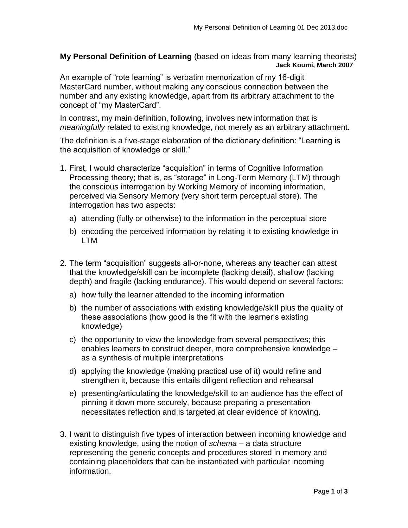**My Personal Definition of Learning** (based on ideas from many learning theorists) **Jack Koumi, March 2007**

An example of "rote learning" is verbatim memorization of my 16-digit MasterCard number, without making any conscious connection between the number and any existing knowledge, apart from its arbitrary attachment to the concept of "my MasterCard".

In contrast, my main definition, following, involves new information that is *meaningfully* related to existing knowledge, not merely as an arbitrary attachment.

The definition is a five-stage elaboration of the dictionary definition: "Learning is the acquisition of knowledge or skill."

- 1. First, I would characterize "acquisition" in terms of Cognitive Information Processing theory; that is, as "storage" in Long-Term Memory (LTM) through the conscious interrogation by Working Memory of incoming information, perceived via Sensory Memory (very short term perceptual store). The interrogation has two aspects:
	- a) attending (fully or otherwise) to the information in the perceptual store
	- b) encoding the perceived information by relating it to existing knowledge in LTM
- 2. The term "acquisition" suggests all-or-none, whereas any teacher can attest that the knowledge/skill can be incomplete (lacking detail), shallow (lacking depth) and fragile (lacking endurance). This would depend on several factors:
	- a) how fully the learner attended to the incoming information
	- b) the number of associations with existing knowledge/skill plus the quality of these associations (how good is the fit with the learner's existing knowledge)
	- c) the opportunity to view the knowledge from several perspectives; this enables learners to construct deeper, more comprehensive knowledge – as a synthesis of multiple interpretations
	- d) applying the knowledge (making practical use of it) would refine and strengthen it, because this entails diligent reflection and rehearsal
	- e) presenting/articulating the knowledge/skill to an audience has the effect of pinning it down more securely, because preparing a presentation necessitates reflection and is targeted at clear evidence of knowing.
- 3. I want to distinguish five types of interaction between incoming knowledge and existing knowledge, using the notion of *schema* – a data structure representing the generic concepts and procedures stored in memory and containing placeholders that can be instantiated with particular incoming information.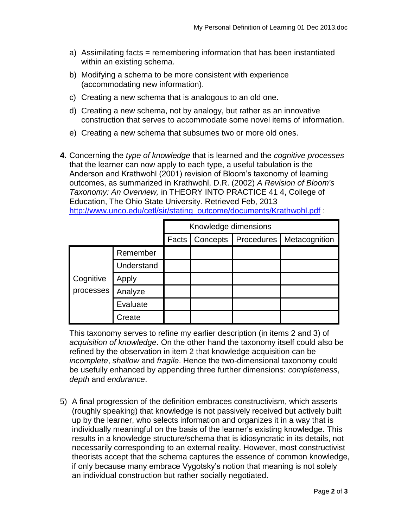- a) Assimilating facts = remembering information that has been instantiated within an existing schema.
- b) Modifying a schema to be more consistent with experience (accommodating new information).
- c) Creating a new schema that is analogous to an old one.
- d) Creating a new schema, not by analogy, but rather as an innovative construction that serves to accommodate some novel items of information.
- e) Creating a new schema that subsumes two or more old ones.
- **4.** Concerning the *type of knowledge* that is learned and the *cognitive processes* that the learner can now apply to each type, a useful tabulation is the Anderson and Krathwohl (2001) revision of Bloom's taxonomy of learning outcomes, as summarized in Krathwohl, D.R. (2002) *A Revision of Bloom's Taxonomy: An Overview,* in THEORY INTO PRACTICE 41 4, College of Education, The Ohio State University. Retrieved Feb, 2013 [http://www.unco.edu/cetl/sir/stating\\_outcome/documents/Krathwohl.pdf](http://www.unco.edu/cetl/sir/stating_outcome/documents/Krathwohl.pdf) :

|                        |            | Knowledge dimensions |          |            |               |
|------------------------|------------|----------------------|----------|------------|---------------|
|                        |            | Facts                | Concepts | Procedures | Metacognition |
| Cognitive<br>processes | Remember   |                      |          |            |               |
|                        | Understand |                      |          |            |               |
|                        | Apply      |                      |          |            |               |
|                        | Analyze    |                      |          |            |               |
|                        | Evaluate   |                      |          |            |               |
|                        | Create     |                      |          |            |               |

This taxonomy serves to refine my earlier description (in items 2 and 3) of *acquisition of knowledge*. On the other hand the taxonomy itself could also be refined by the observation in item 2 that knowledge acquisition can be *incomplete*, *shallow* and *fragile*. Hence the two-dimensional taxonomy could be usefully enhanced by appending three further dimensions: *completeness*, *depth* and *endurance*.

5) A final progression of the definition embraces constructivism, which asserts (roughly speaking) that knowledge is not passively received but actively built up by the learner, who selects information and organizes it in a way that is individually meaningful on the basis of the learner's existing knowledge. This results in a knowledge structure/schema that is idiosyncratic in its details, not necessarily corresponding to an external reality. However, most constructivist theorists accept that the schema captures the essence of common knowledge, if only because many embrace Vygotsky's notion that meaning is not solely an individual construction but rather socially negotiated.